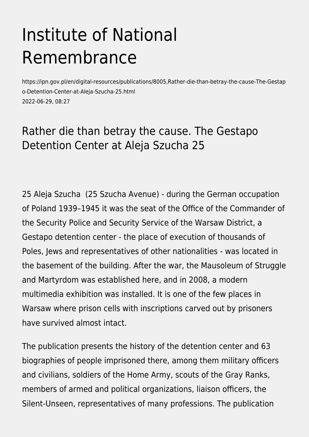# Institute of National Remembrance

https://ipn.gov.pl/en/digital-resources/publications/8005,Rather-die-than-betray-the-cause-The-Gestap o-Detention-Center-at-Aleja-Szucha-25.html 2022-06-29, 08:27

## Rather die than betray the cause. The Gestapo Detention Center at Aleja Szucha 25

25 Aleja Szucha (25 Szucha Avenue) - during the German occupation of Poland 1939–1945 it was the seat of the Office of the Commander of the Security Police and Security Service of the Warsaw District, a Gestapo detention center - the place of execution of thousands of Poles, Jews and representatives of other nationalities - was located in the basement of the building. After the war, the Mausoleum of Struggle and Martyrdom was established here, and in 2008, a modern multimedia exhibition was installed. It is one of the few places in Warsaw where prison cells with inscriptions carved out by prisoners have survived almost intact.

The publication presents the history of the detention center and 63 biographies of people imprisoned there, among them military officers and civilians, soldiers of the Home Army, scouts of the Gray Ranks, members of armed and political organizations, liaison officers, the Silent-Unseen, representatives of many professions. The publication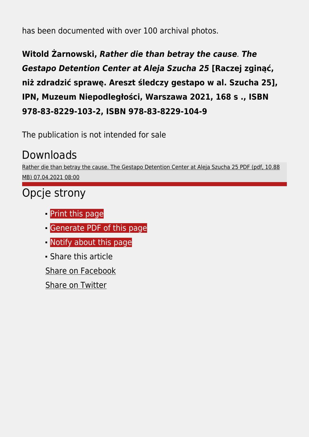has been documented with over 100 archival photos.

**Witold Żarnowski,** *Rather die than betray the cause*. *The Gestapo Detention Center at Aleja Szucha 25* **[Raczej zginąć, niż zdradzić sprawę. Areszt śledczy gestapo w al. Szucha 25], IPN, Muzeum Niepodległości, Warszawa 2021, 168 s ., ISBN 978‑83‑8229‑103‑2, ISBN 978‑83‑8229‑104‑9** 

The publication is not intended for sale

### Downloads

[Rather die than betray the cause. The Gestapo Detention Center at Aleja Szucha 25 PDF \(pdf, 10.88](https://ipn.gov.pl/download/2/33187/RatherdiethanbetraythecauseTheGestapoDetentionCenteratAlejaSzucha25.pdf) [MB\) 07.04.2021 08:00](https://ipn.gov.pl/download/2/33187/RatherdiethanbetraythecauseTheGestapoDetentionCenteratAlejaSzucha25.pdf)

# Opcje strony

- **[Print](https://ipn.gov.pl/javascript:winopen() [this page](https://ipn.gov.pl/javascript:winopen()**
- [Generate PDF](https://ipn.gov.pl/en/digital-resources/publications/8005,Rather-die-than-betray-the-cause-The-Gestapo-Detention-Center-at-Aleja-Szucha-25.pdf) [of this page](https://ipn.gov.pl/en/digital-resources/publications/8005,Rather-die-than-betray-the-cause-The-Gestapo-Detention-Center-at-Aleja-Szucha-25.pdf)
- **[Notify](https://ipn.gov.pl/en/powiadom/8005,dok.html?poz=digital-resources/publications&drukuj=window) [about this page](https://ipn.gov.pl/en/powiadom/8005,dok.html?poz=digital-resources/publications&drukuj=window)**
- Share this article

[Share](https://www.facebook.com/sharer/sharer.php?u=https://ipn.gov.pl/en/digital-resources/publications/8005,Rather-die-than-betray-the-cause-The-Gestapo-Detention-Center-at-Aleja-Szucha-25.html) [on Facebook](https://www.facebook.com/sharer/sharer.php?u=https://ipn.gov.pl/en/digital-resources/publications/8005,Rather-die-than-betray-the-cause-The-Gestapo-Detention-Center-at-Aleja-Szucha-25.html)

[Share](https://twitter.com/share) [on Twitter](https://twitter.com/share)